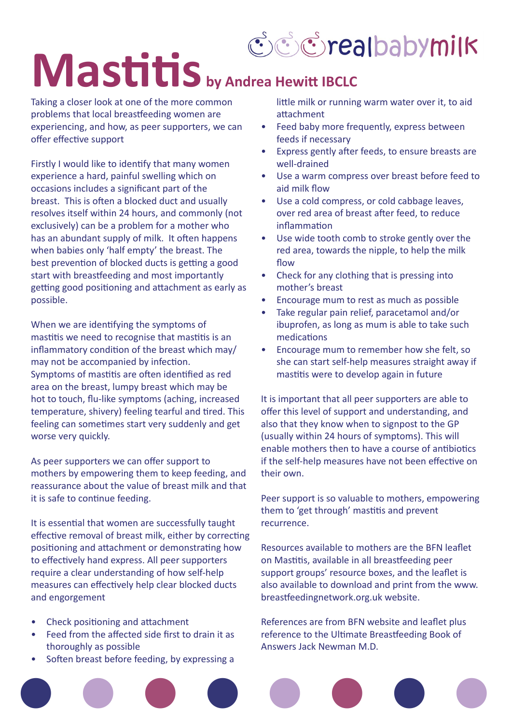

## **Mastitis** by Andrea Hewitt IBCLC

Taking a closer look at one of the more common problems that local breastfeeding women are experiencing, and how, as peer supporters, we can offer effective support

Firstly I would like to identify that many women experience a hard, painful swelling which on occasions includes a significant part of the breast. This is often a blocked duct and usually resolves itself within 24 hours, and commonly (not exclusively) can be a problem for a mother who has an abundant supply of milk. It often happens when babies only 'half empty' the breast. The best prevention of blocked ducts is getting a good start with breastfeeding and most importantly getting good positioning and attachment as early as possible.

When we are identifying the symptoms of mastitis we need to recognise that mastitis is an inflammatory condition of the breast which may/ may not be accompanied by infection. Symptoms of mastitis are often identified as red area on the breast, lumpy breast which may be hot to touch, flu-like symptoms (aching, increased temperature, shivery) feeling tearful and tired. This feeling can sometimes start very suddenly and get worse very quickly.

As peer supporters we can offer support to mothers by empowering them to keep feeding, and reassurance about the value of breast milk and that it is safe to continue feeding.

It is essential that women are successfully taught effective removal of breast milk, either by correcting positioning and attachment or demonstrating how to effectively hand express. All peer supporters require a clear understanding of how self-help measures can effectively help clear blocked ducts and engorgement

- Check positioning and attachment
- Feed from the affected side first to drain it as thoroughly as possible
- Soften breast before feeding, by expressing a

little milk or running warm water over it, to aid attachment

- Feed baby more frequently, express between feeds if necessary
- Express gently after feeds, to ensure breasts are well-drained
- Use a warm compress over breast before feed to aid milk flow
- Use a cold compress, or cold cabbage leaves, over red area of breast after feed, to reduce inflammation
- Use wide tooth comb to stroke gently over the red area, towards the nipple, to help the milk flow
- Check for any clothing that is pressing into mother's breast
- Encourage mum to rest as much as possible
- Take regular pain relief, paracetamol and/or ibuprofen, as long as mum is able to take such medications
- Encourage mum to remember how she felt, so she can start self-help measures straight away if mastitis were to develop again in future

It is important that all peer supporters are able to offer this level of support and understanding, and also that they know when to signpost to the GP (usually within 24 hours of symptoms). This will enable mothers then to have a course of antibiotics if the self-help measures have not been effective on their own.

Peer support is so valuable to mothers, empowering them to 'get through' mastitis and prevent recurrence.

Resources available to mothers are the BFN leaflet on Mastitis, available in all breastfeeding peer support groups' resource boxes, and the leaflet is also available to download and print from the www. breastfeedingnetwork.org.uk website.

References are from BFN website and leaflet plus reference to the Ultimate Breastfeeding Book of Answers Jack Newman M.D.